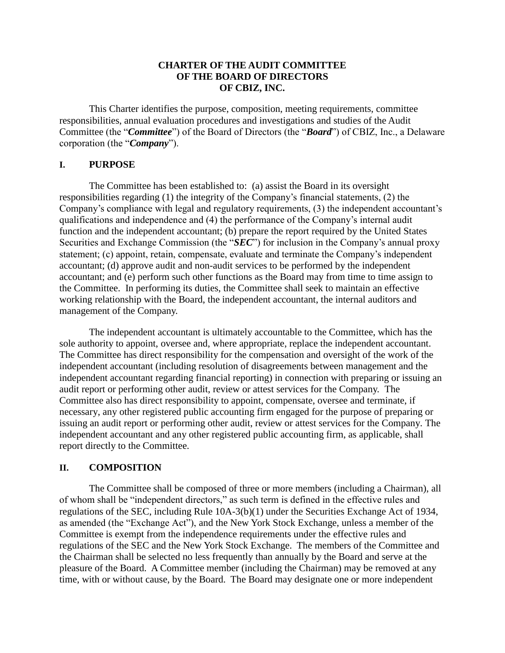#### **CHARTER OF THE AUDIT COMMITTEE OF THE BOARD OF DIRECTORS OF CBIZ, INC.**

This Charter identifies the purpose, composition, meeting requirements, committee responsibilities, annual evaluation procedures and investigations and studies of the Audit Committee (the "*Committee*") of the Board of Directors (the "*Board*") of CBIZ, Inc., a Delaware corporation (the "*Company*").

#### **I. PURPOSE**

The Committee has been established to: (a) assist the Board in its oversight responsibilities regarding (1) the integrity of the Company's financial statements, (2) the Company's compliance with legal and regulatory requirements, (3) the independent accountant's qualifications and independence and (4) the performance of the Company's internal audit function and the independent accountant; (b) prepare the report required by the United States Securities and Exchange Commission (the "*SEC*") for inclusion in the Company's annual proxy statement; (c) appoint, retain, compensate, evaluate and terminate the Company's independent accountant; (d) approve audit and non-audit services to be performed by the independent accountant; and (e) perform such other functions as the Board may from time to time assign to the Committee. In performing its duties, the Committee shall seek to maintain an effective working relationship with the Board, the independent accountant, the internal auditors and management of the Company.

The independent accountant is ultimately accountable to the Committee, which has the sole authority to appoint, oversee and, where appropriate, replace the independent accountant. The Committee has direct responsibility for the compensation and oversight of the work of the independent accountant (including resolution of disagreements between management and the independent accountant regarding financial reporting) in connection with preparing or issuing an audit report or performing other audit, review or attest services for the Company. The Committee also has direct responsibility to appoint, compensate, oversee and terminate, if necessary, any other registered public accounting firm engaged for the purpose of preparing or issuing an audit report or performing other audit, review or attest services for the Company. The independent accountant and any other registered public accounting firm, as applicable, shall report directly to the Committee.

#### **II. COMPOSITION**

The Committee shall be composed of three or more members (including a Chairman), all of whom shall be "independent directors," as such term is defined in the effective rules and regulations of the SEC, including Rule 10A-3(b)(1) under the Securities Exchange Act of 1934, as amended (the "Exchange Act"), and the New York Stock Exchange, unless a member of the Committee is exempt from the independence requirements under the effective rules and regulations of the SEC and the New York Stock Exchange. The members of the Committee and the Chairman shall be selected no less frequently than annually by the Board and serve at the pleasure of the Board. A Committee member (including the Chairman) may be removed at any time, with or without cause, by the Board. The Board may designate one or more independent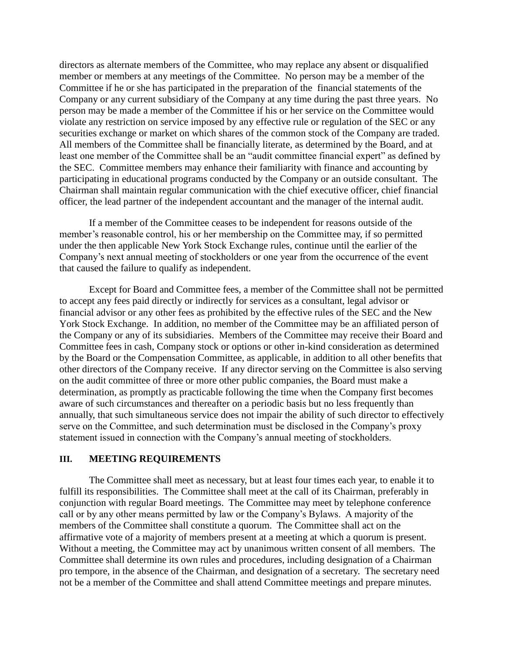directors as alternate members of the Committee, who may replace any absent or disqualified member or members at any meetings of the Committee. No person may be a member of the Committee if he or she has participated in the preparation of the financial statements of the Company or any current subsidiary of the Company at any time during the past three years. No person may be made a member of the Committee if his or her service on the Committee would violate any restriction on service imposed by any effective rule or regulation of the SEC or any securities exchange or market on which shares of the common stock of the Company are traded. All members of the Committee shall be financially literate, as determined by the Board, and at least one member of the Committee shall be an "audit committee financial expert" as defined by the SEC. Committee members may enhance their familiarity with finance and accounting by participating in educational programs conducted by the Company or an outside consultant. The Chairman shall maintain regular communication with the chief executive officer, chief financial officer, the lead partner of the independent accountant and the manager of the internal audit.

If a member of the Committee ceases to be independent for reasons outside of the member's reasonable control, his or her membership on the Committee may, if so permitted under the then applicable New York Stock Exchange rules, continue until the earlier of the Company's next annual meeting of stockholders or one year from the occurrence of the event that caused the failure to qualify as independent.

Except for Board and Committee fees, a member of the Committee shall not be permitted to accept any fees paid directly or indirectly for services as a consultant, legal advisor or financial advisor or any other fees as prohibited by the effective rules of the SEC and the New York Stock Exchange. In addition, no member of the Committee may be an affiliated person of the Company or any of its subsidiaries. Members of the Committee may receive their Board and Committee fees in cash, Company stock or options or other in-kind consideration as determined by the Board or the Compensation Committee, as applicable, in addition to all other benefits that other directors of the Company receive. If any director serving on the Committee is also serving on the audit committee of three or more other public companies, the Board must make a determination, as promptly as practicable following the time when the Company first becomes aware of such circumstances and thereafter on a periodic basis but no less frequently than annually, that such simultaneous service does not impair the ability of such director to effectively serve on the Committee, and such determination must be disclosed in the Company's proxy statement issued in connection with the Company's annual meeting of stockholders.

#### **III. MEETING REQUIREMENTS**

The Committee shall meet as necessary, but at least four times each year, to enable it to fulfill its responsibilities. The Committee shall meet at the call of its Chairman, preferably in conjunction with regular Board meetings. The Committee may meet by telephone conference call or by any other means permitted by law or the Company's Bylaws. A majority of the members of the Committee shall constitute a quorum. The Committee shall act on the affirmative vote of a majority of members present at a meeting at which a quorum is present. Without a meeting, the Committee may act by unanimous written consent of all members. The Committee shall determine its own rules and procedures, including designation of a Chairman pro tempore, in the absence of the Chairman, and designation of a secretary. The secretary need not be a member of the Committee and shall attend Committee meetings and prepare minutes.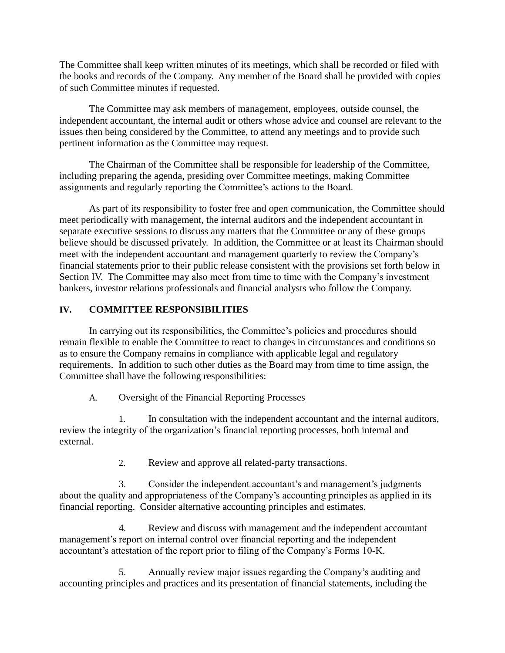The Committee shall keep written minutes of its meetings, which shall be recorded or filed with the books and records of the Company. Any member of the Board shall be provided with copies of such Committee minutes if requested.

The Committee may ask members of management, employees, outside counsel, the independent accountant, the internal audit or others whose advice and counsel are relevant to the issues then being considered by the Committee, to attend any meetings and to provide such pertinent information as the Committee may request.

The Chairman of the Committee shall be responsible for leadership of the Committee, including preparing the agenda, presiding over Committee meetings, making Committee assignments and regularly reporting the Committee's actions to the Board.

As part of its responsibility to foster free and open communication, the Committee should meet periodically with management, the internal auditors and the independent accountant in separate executive sessions to discuss any matters that the Committee or any of these groups believe should be discussed privately. In addition, the Committee or at least its Chairman should meet with the independent accountant and management quarterly to review the Company's financial statements prior to their public release consistent with the provisions set forth below in Section IV. The Committee may also meet from time to time with the Company's investment bankers, investor relations professionals and financial analysts who follow the Company.

## **IV. COMMITTEE RESPONSIBILITIES**

In carrying out its responsibilities, the Committee's policies and procedures should remain flexible to enable the Committee to react to changes in circumstances and conditions so as to ensure the Company remains in compliance with applicable legal and regulatory requirements. In addition to such other duties as the Board may from time to time assign, the Committee shall have the following responsibilities:

## A. Oversight of the Financial Reporting Processes

1. In consultation with the independent accountant and the internal auditors, review the integrity of the organization's financial reporting processes, both internal and external.

2. Review and approve all related-party transactions.

3. Consider the independent accountant's and management's judgments about the quality and appropriateness of the Company's accounting principles as applied in its financial reporting. Consider alternative accounting principles and estimates.

4. Review and discuss with management and the independent accountant management's report on internal control over financial reporting and the independent accountant's attestation of the report prior to filing of the Company's Forms 10-K.

5. Annually review major issues regarding the Company's auditing and accounting principles and practices and its presentation of financial statements, including the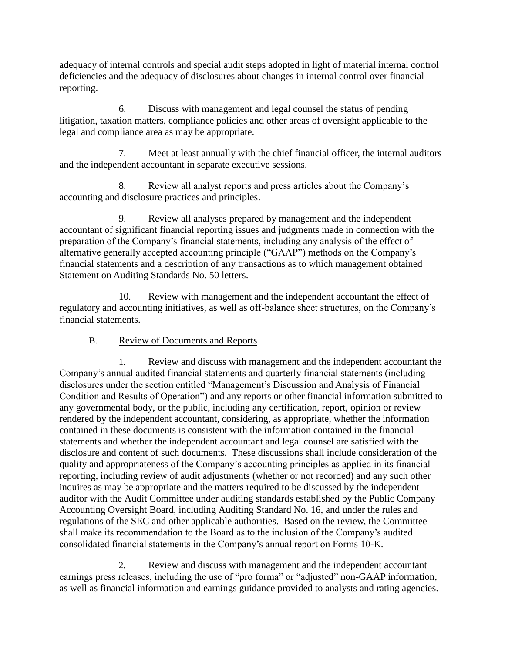adequacy of internal controls and special audit steps adopted in light of material internal control deficiencies and the adequacy of disclosures about changes in internal control over financial reporting.

6. Discuss with management and legal counsel the status of pending litigation, taxation matters, compliance policies and other areas of oversight applicable to the legal and compliance area as may be appropriate.

7. Meet at least annually with the chief financial officer, the internal auditors and the independent accountant in separate executive sessions.

8. Review all analyst reports and press articles about the Company's accounting and disclosure practices and principles.

9. Review all analyses prepared by management and the independent accountant of significant financial reporting issues and judgments made in connection with the preparation of the Company's financial statements, including any analysis of the effect of alternative generally accepted accounting principle ("GAAP") methods on the Company's financial statements and a description of any transactions as to which management obtained Statement on Auditing Standards No. 50 letters.

10. Review with management and the independent accountant the effect of regulatory and accounting initiatives, as well as off-balance sheet structures, on the Company's financial statements.

# B. Review of Documents and Reports

1. Review and discuss with management and the independent accountant the Company's annual audited financial statements and quarterly financial statements (including disclosures under the section entitled "Management's Discussion and Analysis of Financial Condition and Results of Operation") and any reports or other financial information submitted to any governmental body, or the public, including any certification, report, opinion or review rendered by the independent accountant, considering, as appropriate, whether the information contained in these documents is consistent with the information contained in the financial statements and whether the independent accountant and legal counsel are satisfied with the disclosure and content of such documents. These discussions shall include consideration of the quality and appropriateness of the Company's accounting principles as applied in its financial reporting, including review of audit adjustments (whether or not recorded) and any such other inquires as may be appropriate and the matters required to be discussed by the independent auditor with the Audit Committee under auditing standards established by the Public Company Accounting Oversight Board, including Auditing Standard No. 16, and under the rules and regulations of the SEC and other applicable authorities. Based on the review, the Committee shall make its recommendation to the Board as to the inclusion of the Company's audited consolidated financial statements in the Company's annual report on Forms 10-K.

2. Review and discuss with management and the independent accountant earnings press releases, including the use of "pro forma" or "adjusted" non-GAAP information, as well as financial information and earnings guidance provided to analysts and rating agencies.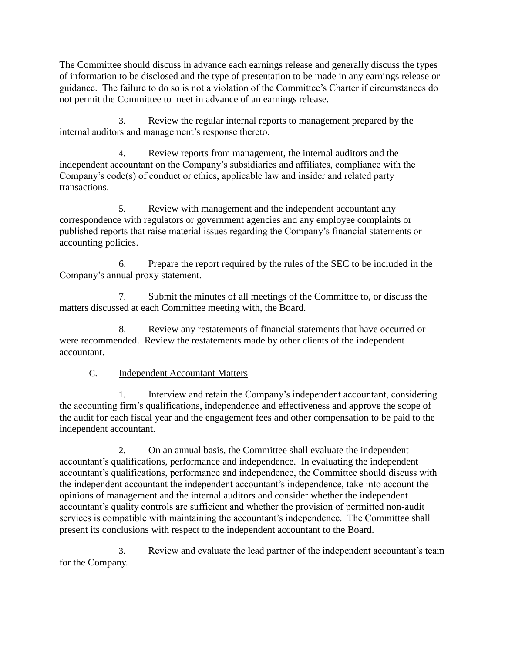The Committee should discuss in advance each earnings release and generally discuss the types of information to be disclosed and the type of presentation to be made in any earnings release or guidance. The failure to do so is not a violation of the Committee's Charter if circumstances do not permit the Committee to meet in advance of an earnings release.

3. Review the regular internal reports to management prepared by the internal auditors and management's response thereto.

4. Review reports from management, the internal auditors and the independent accountant on the Company's subsidiaries and affiliates, compliance with the Company's code(s) of conduct or ethics, applicable law and insider and related party transactions.

5. Review with management and the independent accountant any correspondence with regulators or government agencies and any employee complaints or published reports that raise material issues regarding the Company's financial statements or accounting policies.

6. Prepare the report required by the rules of the SEC to be included in the Company's annual proxy statement.

7. Submit the minutes of all meetings of the Committee to, or discuss the matters discussed at each Committee meeting with, the Board.

8. Review any restatements of financial statements that have occurred or were recommended. Review the restatements made by other clients of the independent accountant.

# C. Independent Accountant Matters

1. Interview and retain the Company's independent accountant, considering the accounting firm's qualifications, independence and effectiveness and approve the scope of the audit for each fiscal year and the engagement fees and other compensation to be paid to the independent accountant.

2. On an annual basis, the Committee shall evaluate the independent accountant's qualifications, performance and independence. In evaluating the independent accountant's qualifications, performance and independence, the Committee should discuss with the independent accountant the independent accountant's independence, take into account the opinions of management and the internal auditors and consider whether the independent accountant's quality controls are sufficient and whether the provision of permitted non-audit services is compatible with maintaining the accountant's independence. The Committee shall present its conclusions with respect to the independent accountant to the Board.

3. Review and evaluate the lead partner of the independent accountant's team for the Company.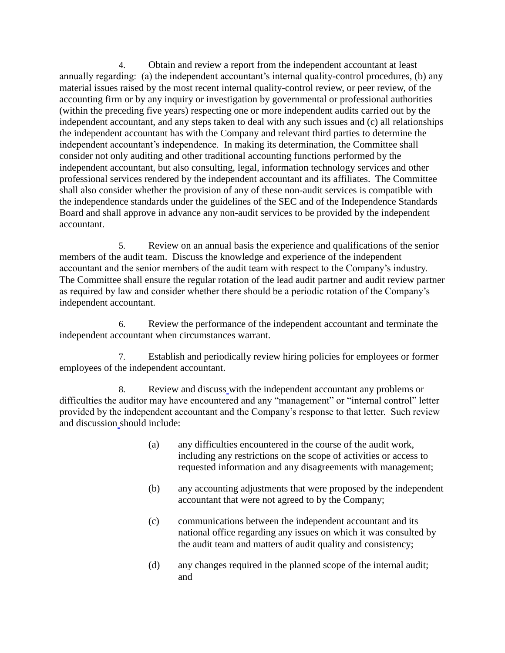4. Obtain and review a report from the independent accountant at least annually regarding: (a) the independent accountant's internal quality-control procedures, (b) any material issues raised by the most recent internal quality-control review, or peer review, of the accounting firm or by any inquiry or investigation by governmental or professional authorities (within the preceding five years) respecting one or more independent audits carried out by the independent accountant, and any steps taken to deal with any such issues and (c) all relationships the independent accountant has with the Company and relevant third parties to determine the independent accountant's independence. In making its determination, the Committee shall consider not only auditing and other traditional accounting functions performed by the independent accountant, but also consulting, legal, information technology services and other professional services rendered by the independent accountant and its affiliates. The Committee shall also consider whether the provision of any of these non-audit services is compatible with the independence standards under the guidelines of the SEC and of the Independence Standards Board and shall approve in advance any non-audit services to be provided by the independent accountant.

5. Review on an annual basis the experience and qualifications of the senior members of the audit team. Discuss the knowledge and experience of the independent accountant and the senior members of the audit team with respect to the Company's industry. The Committee shall ensure the regular rotation of the lead audit partner and audit review partner as required by law and consider whether there should be a periodic rotation of the Company's independent accountant.

6. Review the performance of the independent accountant and terminate the independent accountant when circumstances warrant.

7. Establish and periodically review hiring policies for employees or former employees of the independent accountant.

8. Review and discuss with the independent accountant any problems or difficulties the auditor may have encountered and any "management" or "internal control" letter provided by the independent accountant and the Company's response to that letter. Such review and discussion should include:

- (a) any difficulties encountered in the course of the audit work, including any restrictions on the scope of activities or access to requested information and any disagreements with management;
- (b) any accounting adjustments that were proposed by the independent accountant that were not agreed to by the Company;
- (c) communications between the independent accountant and its national office regarding any issues on which it was consulted by the audit team and matters of audit quality and consistency;
- (d) any changes required in the planned scope of the internal audit; and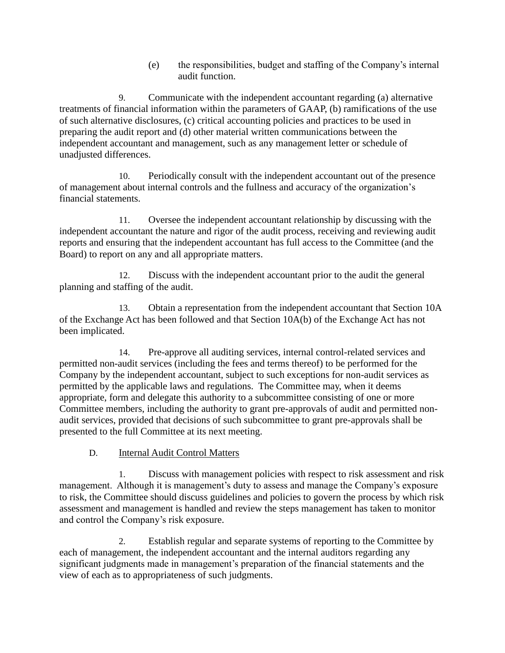(e) the responsibilities, budget and staffing of the Company's internal audit function.

9. Communicate with the independent accountant regarding (a) alternative treatments of financial information within the parameters of GAAP, (b) ramifications of the use of such alternative disclosures, (c) critical accounting policies and practices to be used in preparing the audit report and (d) other material written communications between the independent accountant and management, such as any management letter or schedule of unadjusted differences.

10. Periodically consult with the independent accountant out of the presence of management about internal controls and the fullness and accuracy of the organization's financial statements.

11. Oversee the independent accountant relationship by discussing with the independent accountant the nature and rigor of the audit process, receiving and reviewing audit reports and ensuring that the independent accountant has full access to the Committee (and the Board) to report on any and all appropriate matters.

12. Discuss with the independent accountant prior to the audit the general planning and staffing of the audit.

13. Obtain a representation from the independent accountant that Section 10A of the Exchange Act has been followed and that Section 10A(b) of the Exchange Act has not been implicated.

14. Pre-approve all auditing services, internal control-related services and permitted non-audit services (including the fees and terms thereof) to be performed for the Company by the independent accountant, subject to such exceptions for non-audit services as permitted by the applicable laws and regulations. The Committee may, when it deems appropriate, form and delegate this authority to a subcommittee consisting of one or more Committee members, including the authority to grant pre-approvals of audit and permitted nonaudit services, provided that decisions of such subcommittee to grant pre-approvals shall be presented to the full Committee at its next meeting.

# D. Internal Audit Control Matters

1. Discuss with management policies with respect to risk assessment and risk management. Although it is management's duty to assess and manage the Company's exposure to risk, the Committee should discuss guidelines and policies to govern the process by which risk assessment and management is handled and review the steps management has taken to monitor and control the Company's risk exposure.

2. Establish regular and separate systems of reporting to the Committee by each of management, the independent accountant and the internal auditors regarding any significant judgments made in management's preparation of the financial statements and the view of each as to appropriateness of such judgments.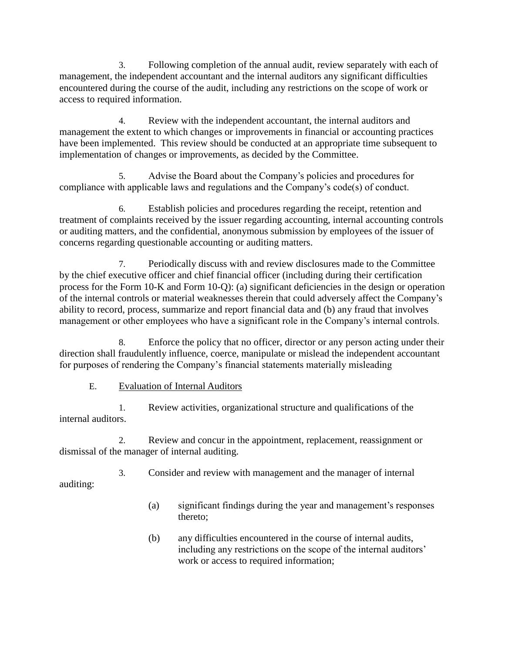3. Following completion of the annual audit, review separately with each of management, the independent accountant and the internal auditors any significant difficulties encountered during the course of the audit, including any restrictions on the scope of work or access to required information.

4. Review with the independent accountant, the internal auditors and management the extent to which changes or improvements in financial or accounting practices have been implemented. This review should be conducted at an appropriate time subsequent to implementation of changes or improvements, as decided by the Committee.

5. Advise the Board about the Company's policies and procedures for compliance with applicable laws and regulations and the Company's code(s) of conduct.

6. Establish policies and procedures regarding the receipt, retention and treatment of complaints received by the issuer regarding accounting, internal accounting controls or auditing matters, and the confidential, anonymous submission by employees of the issuer of concerns regarding questionable accounting or auditing matters.

7. Periodically discuss with and review disclosures made to the Committee by the chief executive officer and chief financial officer (including during their certification process for the Form 10-K and Form 10-Q): (a) significant deficiencies in the design or operation of the internal controls or material weaknesses therein that could adversely affect the Company's ability to record, process, summarize and report financial data and (b) any fraud that involves management or other employees who have a significant role in the Company's internal controls.

8. Enforce the policy that no officer, director or any person acting under their direction shall fraudulently influence, coerce, manipulate or mislead the independent accountant for purposes of rendering the Company's financial statements materially misleading

# E. Evaluation of Internal Auditors

1. Review activities, organizational structure and qualifications of the internal auditors.

2. Review and concur in the appointment, replacement, reassignment or dismissal of the manager of internal auditing.

3. Consider and review with management and the manager of internal auditing:

- (a) significant findings during the year and management's responses thereto;
- (b) any difficulties encountered in the course of internal audits, including any restrictions on the scope of the internal auditors' work or access to required information;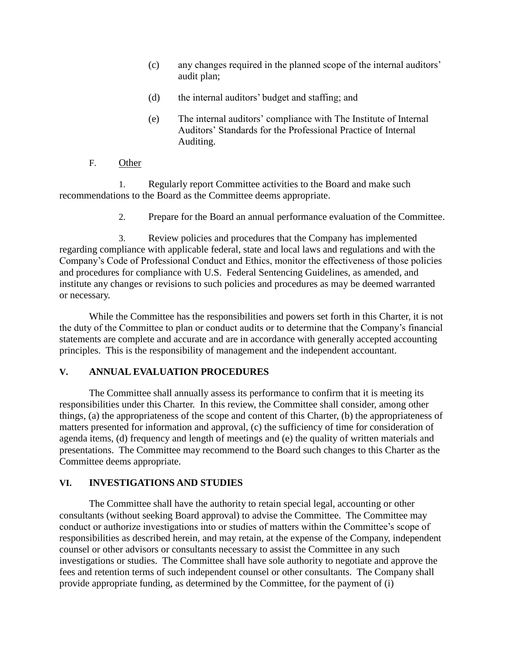- (c) any changes required in the planned scope of the internal auditors' audit plan;
- (d) the internal auditors' budget and staffing; and
- (e) The internal auditors' compliance with The Institute of Internal Auditors' Standards for the Professional Practice of Internal Auditing.
- F. Other

1. Regularly report Committee activities to the Board and make such recommendations to the Board as the Committee deems appropriate.

2. Prepare for the Board an annual performance evaluation of the Committee.

3. Review policies and procedures that the Company has implemented regarding compliance with applicable federal, state and local laws and regulations and with the Company's Code of Professional Conduct and Ethics, monitor the effectiveness of those policies and procedures for compliance with U.S. Federal Sentencing Guidelines, as amended, and institute any changes or revisions to such policies and procedures as may be deemed warranted or necessary.

While the Committee has the responsibilities and powers set forth in this Charter, it is not the duty of the Committee to plan or conduct audits or to determine that the Company's financial statements are complete and accurate and are in accordance with generally accepted accounting principles. This is the responsibility of management and the independent accountant.

## **V. ANNUAL EVALUATION PROCEDURES**

The Committee shall annually assess its performance to confirm that it is meeting its responsibilities under this Charter. In this review, the Committee shall consider, among other things, (a) the appropriateness of the scope and content of this Charter, (b) the appropriateness of matters presented for information and approval, (c) the sufficiency of time for consideration of agenda items, (d) frequency and length of meetings and (e) the quality of written materials and presentations. The Committee may recommend to the Board such changes to this Charter as the Committee deems appropriate.

## **VI. INVESTIGATIONS AND STUDIES**

The Committee shall have the authority to retain special legal, accounting or other consultants (without seeking Board approval) to advise the Committee. The Committee may conduct or authorize investigations into or studies of matters within the Committee's scope of responsibilities as described herein, and may retain, at the expense of the Company, independent counsel or other advisors or consultants necessary to assist the Committee in any such investigations or studies. The Committee shall have sole authority to negotiate and approve the fees and retention terms of such independent counsel or other consultants. The Company shall provide appropriate funding, as determined by the Committee, for the payment of (i)